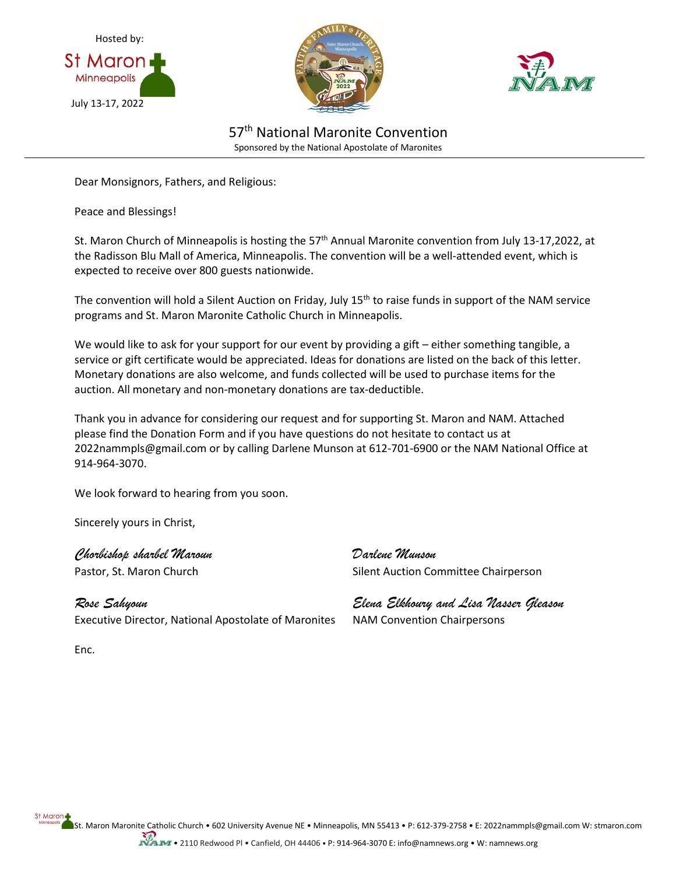





57<sup>th</sup> National Maronite Convention Sponsored by the National Apostolate of Maronites

Dear Monsignors, Fathers, and Religious:

Peace and Blessings!

St. Maron Church of Minneapolis is hosting the 57<sup>th</sup> Annual Maronite convention from July 13-17,2022, at the Radisson Blu Mall of America, Minneapolis. The convention will be a well-attended event, which is expected to receive over 800 guests nationwide.

The convention will hold a Silent Auction on Friday, July 15<sup>th</sup> to raise funds in support of the NAM service programs and St. Maron Maronite Catholic Church in Minneapolis.

We would like to ask for your support for our event by providing a gift - either something tangible, a service or gift certificate would be appreciated. Ideas for donations are listed on the back of this letter. Monetary donations are also welcome, and funds collected will be used to purchase items for the auction. All monetary and non-monetary donations are tax-deductible.

Thank you in advance for considering our request and for supporting St. Maron and NAM. Attached please find the Donation Form and if you have questions do not hesitate to contact us at 2022nammpls@gmail.com or by calling Darlene Munson at 612-701-6900 or the NAM National Office at 914-964-3070.

We look forward to hearing from you soon.

Sincerely yours in Christ,

*Chorbishop sharbel Maroun Darlene Munson*

*Rose Sahyoun Elena Elkhoury and Lisa Nasser Gleason* Executive Director, National Apostolate of Maronites NAM Convention Chairpersons

Pastor, St. Maron Church Silent Auction Committee Chairperson

Enc.

St Maron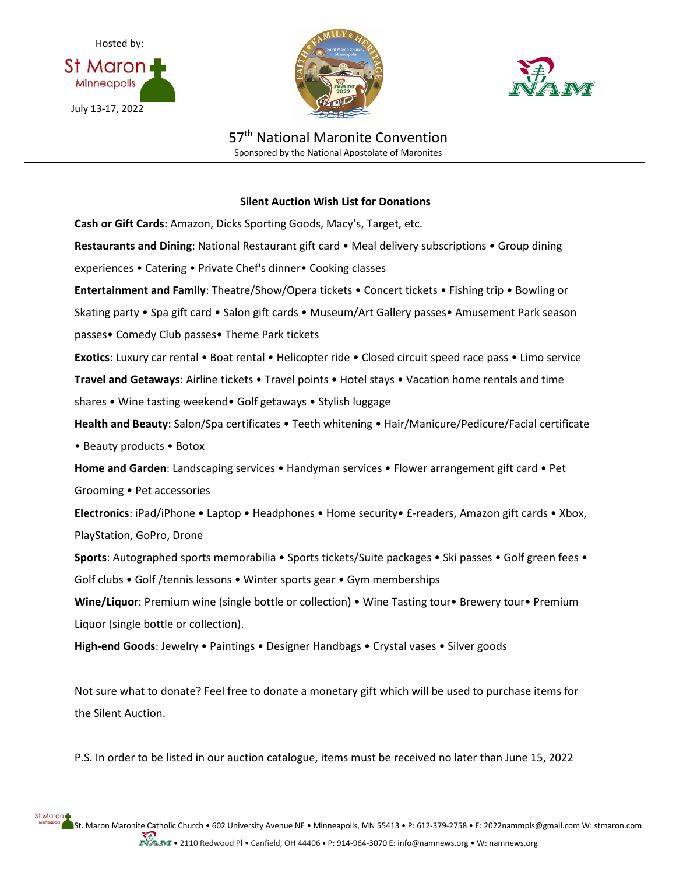





57<sup>th</sup> National Maronite Convention Sponsored by the National Apostolate of Maronites

## **Silent Auction Wish List for Donations**

**Cash or Gift Cards:** Amazon, Dicks Sporting Goods, Macy's, Target, etc. **Restaurants and Dining**: National Restaurant gift card • Meal delivery subscriptions • Group dining experiences • Catering • Private Chef's dinner• Cooking classes **Entertainment and Family**: Theatre/Show/Opera tickets • Concert tickets • Fishing trip • Bowling or Skating party • Spa gift card • Salon gift cards • Museum/Art Gallery passes• Amusement Park season passes• Comedy Club passes• Theme Park tickets **Exotics**: Luxury car rental • Boat rental • Helicopter ride • Closed circuit speed race pass • Limo service **Travel and Getaways**: Airline tickets • Travel points • Hotel stays • Vacation home rentals and time shares • Wine tasting weekend• Golf getaways • Stylish luggage **Health and Beauty**: Salon/Spa certificates • Teeth whitening • Hair/Manicure/Pedicure/Facial certificate • Beauty products • Botox **Home and Garden**: Landscaping services • Handyman services • Flower arrangement gift card • Pet Grooming • Pet accessories **Electronics**: iPad/iPhone • Laptop • Headphones • Home security• £-readers, Amazon gift cards • Xbox, PlayStation, GoPro, Drone **Sports**: Autographed sports memorabilia • Sports tickets/Suite packages • Ski passes • Golf green fees • Golf clubs • Golf /tennis lessons • Winter sports gear • Gym memberships **Wine/Liquor**: Premium wine (single bottle or collection) • Wine Tasting tour• Brewery tour• Premium Liquor (single bottle or collection). **High-end Goods**: Jewelry • Paintings • Designer Handbags • Crystal vases • Silver goods

Not sure what to donate? Feel free to donate a monetary gift which will be used to purchase items for the Silent Auction.

P.S. In order to be listed in our auction catalogue, items must be received no later than June 15, 2022